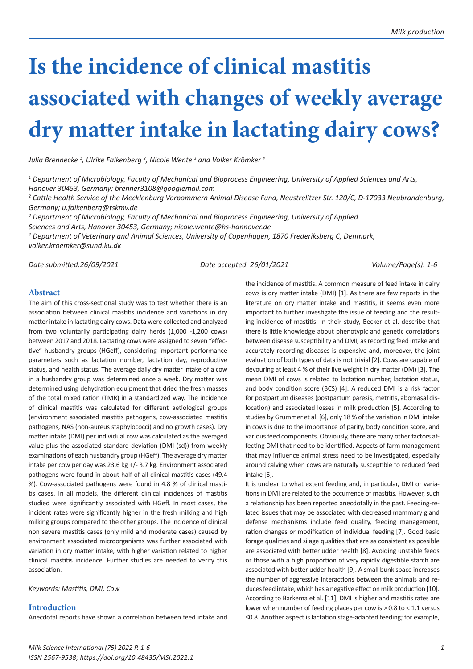# **Is the incidence of clinical mastitis associated with changes of weekly average dry matter intake in lactating dairy cows?**

*Julia Brennecke <sup>1</sup> , Ulrike Falkenberg 2 , Nicole Wente 3 and Volker Krömker <sup>4</sup>*

*1 Department of Microbiology, Faculty of Mechanical and Bioprocess Engineering, University of Applied Sciences and Arts, Hanover 30453, Germany; brenner3108@googlemail.com*

*2 Cattle Health Service of the Mecklenburg Vorpommern Animal Disease Fund, Neustrelitzer Str. 120/C, D-17033 Neubrandenburg, Germany; u.falkenberg@tskmv.de* 

*3 Department of Microbiology, Faculty of Mechanical and Bioprocess Engineering, University of Applied Sciences and Arts, Hanover 30453, Germany; nicole.wente@hs-hannover.de* 

*4 Department of Veterinary and Animal Sciences, University of Copenhagen, 1870 Frederiksberg C, Denmark, volker.kroemker@sund.ku.dk*

*Date submitted:26/09/2021 Date accepted: 26/01/2021 Volume/Page(s): 1-6*

## **Abstract**

The aim of this cross-sectional study was to test whether there is an association between clinical mastitis incidence and variations in dry matter intake in lactating dairy cows. Data were collected and analyzed from two voluntarily participating dairy herds (1,000 -1,200 cows) between 2017 and 2018. Lactating cows were assigned to seven "effective" husbandry groups (HGeff), considering important performance parameters such as lactation number, lactation day, reproductive status, and health status. The average daily dry matter intake of a cow in a husbandry group was determined once a week. Dry matter was determined using dehydration equipment that dried the fresh masses of the total mixed ration (TMR) in a standardized way. The incidence of clinical mastitis was calculated for different aetiological groups (environment associated mastitis pathogens, cow-associated mastitis pathogens, NAS (non-aureus staphylococci) and no growth cases). Dry matter intake (DMI) per individual cow was calculated as the averaged value plus the associated standard deviation (DMI (sd)) from weekly examinations of each husbandry group (HGeff). The average dry matter intake per cow per day was 23.6 kg +/- 3.7 kg. Environment associated pathogens were found in about half of all clinical mastitis cases (49.4 %). Cow-associated pathogens were found in 4.8 % of clinical mastitis cases. In all models, the different clinical incidences of mastitis studied were significantly associated with HGeff. In most cases, the incident rates were significantly higher in the fresh milking and high milking groups compared to the other groups. The incidence of clinical non severe mastitis cases (only mild and moderate cases) caused by environment associated microorganisms was further associated with variation in dry matter intake, with higher variation related to higher clinical mastitis incidence. Further studies are needed to verify this association.

*Keywords: Mastitis, DMI, Cow*

## **Introduction**

Anecdotal reports have shown a correlation between feed intake and

the incidence of mastitis. A common measure of feed intake in dairy cows is dry matter intake (DMI) [1]. As there are few reports in the literature on dry matter intake and mastitis, it seems even more important to further investigate the issue of feeding and the resulting incidence of mastitis. In their study, Becker et al. describe that there is little knowledge about phenotypic and genetic correlations between disease susceptibility and DMI, as recording feed intake and accurately recording diseases is expensive and, moreover, the joint evaluation of both types of data is not trivial [2]. Cows are capable of devouring at least 4 % of their live weight in dry matter (DM) [3]. The mean DMI of cows is related to lactation number, lactation status, and body condition score (BCS) [4]. A reduced DMI is a risk factor for postpartum diseases (postpartum paresis, metritis, abomasal dislocation) and associated losses in milk production [5]. According to studies by Grummer et al. [6], only 18 % of the variation in DMI intake in cows is due to the importance of parity, body condition score, and various feed components. Obviously, there are many other factors affecting DMI that need to be identified. Aspects of farm management that may influence animal stress need to be investigated, especially around calving when cows are naturally susceptible to reduced feed intake [6].

It is unclear to what extent feeding and, in particular, DMI or variations in DMI are related to the occurrence of mastitis. However, such a relationship has been reported anecdotally in the past. Feeding-related issues that may be associated with decreased mammary gland defense mechanisms include feed quality, feeding management, ration changes or modification of individual feeding [7]. Good basic forage qualities and silage qualities that are as consistent as possible are associated with better udder health [8]. Avoiding unstable feeds or those with a high proportion of very rapidly digestible starch are associated with better udder health [9]. A small bunk space increases the number of aggressive interactions between the animals and reduces feed intake, which has a negative effect on milk production [10]. According to Barkema et al. [11], DMI is higher and mastitis rates are lower when number of feeding places per cow is  $> 0.8$  to < 1.1 versus ≤0.8. Another aspect is lactation stage-adapted feeding; for example,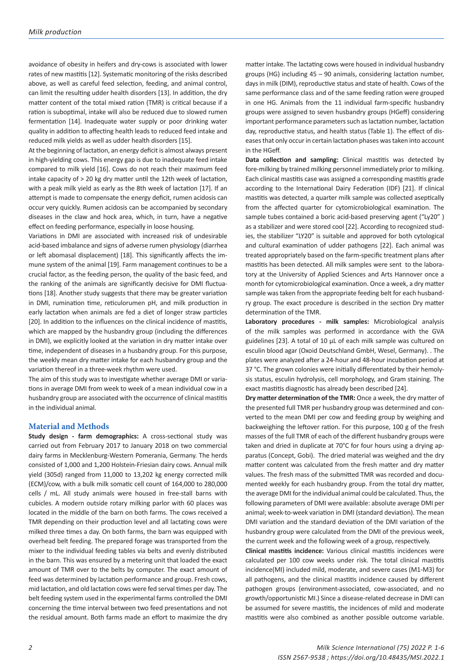avoidance of obesity in heifers and dry-cows is associated with lower rates of new mastitis [12]. Systematic monitoring of the risks described above, as well as careful feed selection, feeding, and animal control, can limit the resulting udder health disorders [13]. In addition, the dry matter content of the total mixed ration (TMR) is critical because if a ration is suboptimal, intake will also be reduced due to slowed rumen fermentation [14]. Inadequate water supply or poor drinking water quality in addition to affecting health leads to reduced feed intake and reduced milk yields as well as udder health disorders [15].

At the beginning of lactation, an energy deficit is almost always present in high-yielding cows. This energy gap is due to inadequate feed intake compared to milk yield [16]. Cows do not reach their maximum feed intake capacity of > 20 kg dry matter until the 12th week of lactation, with a peak milk yield as early as the 8th week of lactation [17]. If an attempt is made to compensate the energy deficit, rumen acidosis can occur very quickly. Rumen acidosis can be accompanied by secondary diseases in the claw and hock area, which, in turn, have a negative effect on feeding performance, especially in loose housing.

Variations in DMI are associated with increased risk of undesirable acid-based imbalance and signs of adverse rumen physiology (diarrhea or left abomasal displacement) [18]. This significantly affects the immune system of the animal [19]. Farm management continues to be a crucial factor, as the feeding person, the quality of the basic feed, and the ranking of the animals are significantly decisive for DMI fluctuations [18]. Another study suggests that there may be greater variation in DMI, rumination time, reticulorumen pH, and milk production in early lactation when animals are fed a diet of longer straw particles [20]. In addition to the influences on the clinical incidence of mastitis, which are mapped by the husbandry group (including the differences in DMI), we explicitly looked at the variation in dry matter intake over time, independent of diseases in a husbandry group. For this purpose, the weekly mean dry matter intake for each husbandry group and the variation thereof in a three-week rhythm were used.

The aim of this study was to investigate whether average DMI or variations in average DMI from week to week of a mean individual cow in a husbandry group are associated with the occurrence of clinical mastitis in the individual animal.

#### **Material and Methods**

**Study design - farm demographics:** A cross-sectional study was carried out from February 2017 to January 2018 on two commercial dairy farms in Mecklenburg-Western Pomerania, Germany. The herds consisted of 1,000 and 1,200 Holstein-Friesian dairy cows. Annual milk yield (305d) ranged from 11,000 to 13,202 kg energy corrected milk (ECM)/cow, with a bulk milk somatic cell count of 164,000 to 280,000 cells / mL. All study animals were housed in free-stall barns with cubicles. A modern outside rotary milking parlor with 60 places was located in the middle of the barn on both farms. The cows received a TMR depending on their production level and all lactating cows were milked three times a day. On both farms, the barn was equipped with overhead belt feeding. The prepared forage was transported from the mixer to the individual feeding tables via belts and evenly distributed in the barn. This was ensured by a metering unit that loaded the exact amount of TMR over to the belts by computer. The exact amount of feed was determined by lactation performance and group. Fresh cows, mid lactation, and old lactation cows were fed serval times per day. The belt feeding system used in the experimental farms controlled the DMI concerning the time interval between two feed presentations and not the residual amount. Both farms made an effort to maximize the dry

matter intake. The lactating cows were housed in individual husbandry groups (HG) including 45 – 90 animals, considering lactation number, days in milk (DIM), reproductive status and state of health. Cows of the same performance class and of the same feeding ration were grouped in one HG. Animals from the 11 individual farm-specific husbandry groups were assigned to seven husbandry groups (HGeff) considering important performance parameters such as lactation number, lactation day, reproductive status, and health status (Table 1). The effect of diseases that only occur in certain lactation phases was taken into account in the HGeff.

**Data collection and sampling:** Clinical mastitis was detected by fore-milking by trained milking personnel immediately prior to milking. Each clinical mastitis case was assigned a corresponding mastitis grade according to the International Dairy Federation (IDF) [21]. If clinical mastitis was detected, a quarter milk sample was collected aseptically from the affected quarter for cytomicrobiological examination. The sample tubes contained a boric acid-based preserving agent ("Ly20") as a stabilizer and were stored cool [22]. According to recognized studies, the stabilizer "LY20" is suitable and approved for both cytological and cultural examination of udder pathogens [22]. Each animal was treated appropriately based on the farm-specific treatment plans after mastitis has been detected. All milk samples were sent to the laboratory at the University of Applied Sciences and Arts Hannover once a month for cytomicrobiological examination. Once a week, a dry matter sample was taken from the appropriate feeding belt for each husbandry group. The exact procedure is described in the section Dry matter determination of the TMR.

**Laboratory procedures - milk samples:** Microbiological analysis of the milk samples was performed in accordance with the GVA guidelines [23]. A total of 10 µL of each milk sample was cultured on esculin blood agar (Oxoid Deutschland GmbH, Wesel, Germany). . The plates were analyzed after a 24-hour and 48-hour incubation period at 37 °C. The grown colonies were initially differentiated by their hemolysis status, esculin hydrolysis, cell morphology, and Gram staining. The exact mastitis diagnostic has already been described [24].

**Dry matter determination of the TMR:** Once a week, the dry matter of the presented full TMR per husbandry group was determined and converted to the mean DMI per cow and feeding group by weighing and backweighing the leftover ration. For this purpose, 100 g of the fresh masses of the full TMR of each of the different husbandry groups were taken and dried in duplicate at 70°C for four hours using a drying apparatus (Concept, Gobi). The dried material was weighed and the dry matter content was calculated from the fresh matter and dry matter values. The fresh mass of the submitted TMR was recorded and documented weekly for each husbandry group. From the total dry matter, the average DMI for the individual animal could be calculated. Thus, the following parameters of DMI were available: absolute average DMI per animal; week-to-week variation in DMI (standard deviation). The mean DMI variation and the standard deviation of the DMI variation of the husbandry group were calculated from the DMI of the previous week, the current week and the following week of a group, respectively.

**Clinical mastitis incidence:** Various clinical mastitis incidences were calculated per 100 cow weeks under risk. The total clinical mastitis incidence(MI) included mild, moderate, and severe cases (M1-M3) for all pathogens, and the clinical mastitis incidence caused by different pathogen groups (environment-associated, cow-associated, and no growth/opportunistic MI.) Since a disease-related decrease in DMI can be assumed for severe mastitis, the incidences of mild and moderate mastitis were also combined as another possible outcome variable.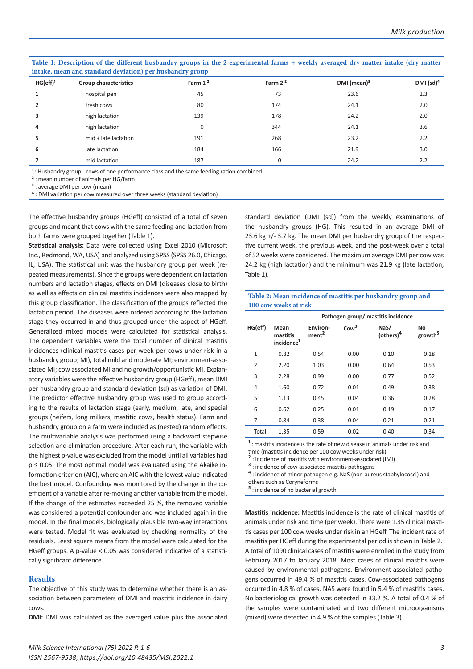| intake, mean and standard deviation) per husbandry group |                              |                     |           |                |              |  |  |  |
|----------------------------------------------------------|------------------------------|---------------------|-----------|----------------|--------------|--|--|--|
| HG(eff) <sup>1</sup>                                     | <b>Group characteristics</b> | Farm 1 <sup>2</sup> | Farm $22$ | DMI (mean) $3$ | DMI $(sd)^4$ |  |  |  |
|                                                          | hospital pen                 | 45                  | 73        | 23.6           | 2.3          |  |  |  |
|                                                          | fresh cows                   | 80                  | 174       | 24.1           | 2.0          |  |  |  |
|                                                          | high lactation               | 139                 | 178       | 24.2           | 2.0          |  |  |  |
| 4                                                        | high lactation               | 0                   | 344       | 24.1           | 3.6          |  |  |  |
| 5                                                        | mid + late lactation         | 191                 | 268       | 23.2           | 2.2          |  |  |  |
| 6                                                        | late lactation               | 184                 | 166       | 21.9           | 3.0          |  |  |  |
|                                                          | mid lactation                | 187                 | 0         | 24.2           | 2.2          |  |  |  |

**Table 1: Description of the different husbandry groups in the 2 experimental farms + weekly averaged dry matter intake (dry matter intake, mean and standard deviation) per husbandry group**

<sup>1</sup>: Husbandry group - cows of one performance class and the same feeding ration combined

² : mean number of animals per HG/farm

<sup>3</sup> : average DMI per cow (mean)

<sup>4</sup> : DMI variation per cow measured over three weeks (standard deviation)

The effective husbandry groups (HGeff) consisted of a total of seven groups and meant that cows with the same feeding and lactation from both farms were grouped together (Table 1).

**Statistical analysis:** Data were collected using Excel 2010 (Microsoft Inc., Redmond, WA, USA) and analyzed using SPSS (SPSS 26.0, Chicago, IL, USA). The statistical unit was the husbandry group per week (repeated measurements). Since the groups were dependent on lactation numbers and lactation stages, effects on DMI (diseases close to birth) as well as effects on clinical mastitis incidences were also mapped by this group classification. The classification of the groups reflected the lactation period. The diseases were ordered according to the lactation stage they occurred in and thus grouped under the aspect of HGeff. Generalized mixed models were calculated for statistical analysis. The dependent variables were the total number of clinical mastitis incidences (clinical mastitis cases per week per cows under risk in a husbandry group; MI), total mild and moderate MI; environment-associated MI; cow associated MI and no growth/opportunistic MI. Explanatory variables were the effective husbandry group (HGeff), mean DMI per husbandry group and standard deviation (sd) as variation of DMI. The predictor effective husbandry group was used to group according to the results of lactation stage (early, medium, late, and special groups (heifers, long milkers, mastitic cows, health status). Farm and husbandry group on a farm were included as (nested) random effects. The multivariable analysis was performed using a backward stepwise selection and elimination procedure. After each run, the variable with the highest p-value was excluded from the model until all variables had p ≤ 0.05. The most optimal model was evaluated using the Akaike information criterion (AIC), where an AIC with the lowest value indicated the best model. Confounding was monitored by the change in the coefficient of a variable after re-moving another variable from the model. If the change of the estimates exceeded 25 %, the removed variable was considered a potential confounder and was included again in the model. In the final models, biologically plausible two-way interactions were tested. Model fit was evaluated by checking normality of the residuals. Least square means from the model were calculated for the HGeff groups. A p-value < 0.05 was considered indicative of a statistically significant difference.

#### **Results**

The objective of this study was to determine whether there is an association between parameters of DMI and mastitis incidence in dairy cows.

**DMI:** DMI was calculated as the averaged value plus the associated

standard deviation (DMI (sd)) from the weekly examinations of the husbandry groups (HG). This resulted in an average DMI of 23.6 kg +/- 3.7 kg. The mean DMI per husbandry group of the respective current week, the previous week, and the post-week over a total of 52 weeks were considered. The maximum average DMI per cow was 24.2 kg (high lactation) and the minimum was 21.9 kg (late lactation, Table 1).

**Table 2: Mean incidence of mastitis per husbandry group and 100 cow weeks at risk**

|                |                                            | Pathogen group/ mastitis incidence |                  |                               |                           |  |
|----------------|--------------------------------------------|------------------------------------|------------------|-------------------------------|---------------------------|--|
| HG(eff)        | Mean<br>mastitis<br>incidence <sup>1</sup> | Environ-<br>ment <sup>2</sup>      | Cow <sup>3</sup> | NaS/<br>(others) <sup>4</sup> | No<br>growth <sup>5</sup> |  |
| $\mathbf{1}$   | 0.82                                       | 0.54                               | 0.00             | 0.10                          | 0.18                      |  |
| $\overline{2}$ | 2.20                                       | 1.03                               | 0.00             | 0.64                          | 0.53                      |  |
| 3              | 2.28                                       | 0.99                               | 0.00             | 0.77                          | 0.52                      |  |
| 4              | 1.60                                       | 0.72                               | 0.01             | 0.49                          | 0.38                      |  |
| 5              | 1.13                                       | 0.45                               | 0.04             | 0.36                          | 0.28                      |  |
| 6              | 0.62                                       | 0.25                               | 0.01             | 0.19                          | 0.17                      |  |
| 7              | 0.84                                       | 0.38                               | 0.04             | 0.21                          | 0.21                      |  |
| Total          | 1.35                                       | 0.59                               | 0.02             | 0.40                          | 0.34                      |  |

 $1$ : mastitis incidence is the rate of new disease in animals under risk and

time (mastitis incidence per 100 cow weeks under risk)

: incidence of mastitis with environment-associated (IMI)

<sup>3</sup> : incidence of cow-associated mastitis pathogens

⁴ : incidence of minor pathogen e.g. NaS (non-aureus staphylococci) and others such as Coryneforms

⁵ : incidence of no bacterial growth

**Mastitis incidence:** Mastitis incidence is the rate of clinical mastitis of animals under risk and time (per week). There were 1.35 clinical mastitis cases per 100 cow weeks under risk in an HGeff. The incident rate of mastitis per HGeff during the experimental period is shown in Table 2. A total of 1090 clinical cases of mastitis were enrolled in the study from February 2017 to January 2018. Most cases of clinical mastitis were caused by environmental pathogens. Environment-associated pathogens occurred in 49.4 % of mastitis cases. Cow-associated pathogens occurred in 4.8 % of cases. NAS were found in 5.4 % of mastitis cases. No bacteriological growth was detected in 33.2 %. A total of 0.4 % of the samples were contaminated and two different microorganisms (mixed) were detected in 4.9 % of the samples (Table 3).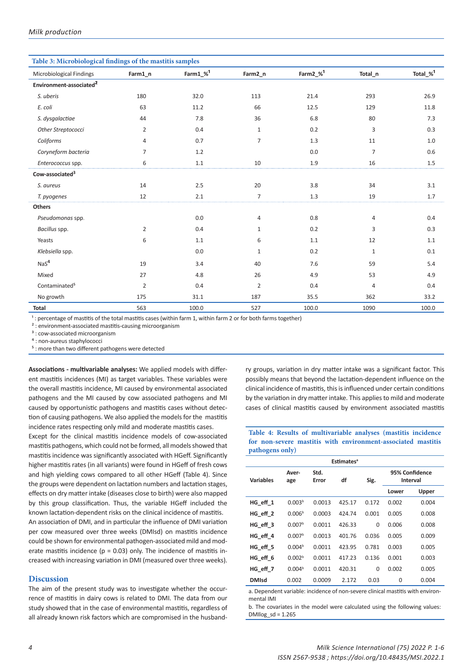| Table 3: Microbiological findings of the mastitis samples |                |                  |                |                      |                |                      |
|-----------------------------------------------------------|----------------|------------------|----------------|----------------------|----------------|----------------------|
| Microbiological Findings                                  | Farm1_n        | $Farm1_\infty^1$ | Farm2_n        | Farm2_% <sup>1</sup> | Total_n        | Total_ $\frac{1}{2}$ |
| Environment-associated <sup>2</sup>                       |                |                  |                |                      |                |                      |
| S. uberis                                                 | 180            | 32.0             | 113            | 21.4                 | 293            | 26.9                 |
| E. coli                                                   | 63             | 11.2             | 66             | 12.5                 | 129            | 11.8                 |
| S. dysgalactiae                                           | 44             | 7.8              | 36             | 6.8                  | 80             | 7.3                  |
| Other Streptococci                                        | $\overline{2}$ | 0.4              | $\mathbf{1}$   | 0.2                  | 3              | 0.3                  |
| Coliforms                                                 | 4              | 0.7              | $\overline{7}$ | 1.3                  | 11             | 1.0                  |
| Coryneform bacteria                                       | $\overline{7}$ | 1.2              |                | 0.0                  | $\overline{7}$ | 0.6                  |
| Enterococcus spp.                                         | 6              | $1.1\,$          | 10             | 1.9                  | 16             | $1.5\,$              |
| Cow-associated <sup>3</sup>                               |                |                  |                |                      |                |                      |
| S. aureus                                                 | 14             | 2.5              | 20             | 3.8                  | 34             | 3.1                  |
| T. pyogenes                                               | 12             | 2.1              | $\overline{7}$ | 1.3                  | 19             | 1.7                  |
| Others                                                    |                |                  |                |                      |                |                      |
| Pseudomonas spp.                                          |                | 0.0              | 4              | 0.8                  | 4              | 0.4                  |
| Bacillus spp.                                             | 2              | 0.4              | $\mathbf{1}$   | 0.2                  | 3              | 0.3                  |
| Yeasts                                                    | 6              | 1.1              | 6              | 1.1                  | 12             | 1.1                  |
| Klebsiella spp.                                           |                | 0.0              | $\mathbf{1}$   | 0.2                  | $\mathbf{1}$   | 0.1                  |
| NaS <sup>4</sup>                                          | 19             | 3.4              | 40             | 7.6                  | 59             | 5.4                  |
| Mixed                                                     | 27             | 4.8              | 26             | 4.9                  | 53             | 4.9                  |
| Contaminated <sup>5</sup>                                 | 2              | 0.4              | $\overline{2}$ | 0.4                  | 4              | 0.4                  |
| No growth                                                 | 175            | 31.1             | 187            | 35.5                 | 362            | 33.2                 |
| Total                                                     | 563            | 100.0            | 527            | 100.0                | 1090           | 100.0                |

<sup>1</sup>: percentage of mastitis of the total mastitis cases (within farm 1, within farm 2 or for both farms together)

² : environment-associated mastitis-causing microorganism

<sup>3</sup> : cow-associated microorganism

⁴ : non-aureus staphylococci

 $5$  : more than two different pathogens were detected

**Associations - multivariable analyses:** We applied models with different mastitis incidences (MI) as target variables. These variables were the overall mastitis incidence, MI caused by environmental associated pathogens and the MI caused by cow associated pathogens and MI caused by opportunistic pathogens and mastitis cases without detection of causing pathogens. We also applied the models for the mastitis incidence rates respecting only mild and moderate mastitis cases.

Except for the clinical mastitis incidence models of cow-associated mastitis pathogens, which could not be formed, all models showed that mastitis incidence was significantly associated with HGeff. Significantly higher mastitis rates (in all variants) were found in HGeff of fresh cows and high yielding cows compared to all other HGeff (Table 4). Since the groups were dependent on lactation numbers and lactation stages, effects on dry matter intake (diseases close to birth) were also mapped by this group classification. Thus, the variable HGeff included the known lactation-dependent risks on the clinical incidence of mastitis. An association of DMI, and in particular the influence of DMI variation per cow measured over three weeks (DMIsd) on mastitis incidence could be shown for environmental pathogen-associated mild and moderate mastitis incidence ( $p = 0.03$ ) only. The incidence of mastitis increased with increasing variation in DMI (measured over three weeks).

## **Discussion**

The aim of the present study was to investigate whether the occurrence of mastitis in dairy cows is related to DMI. The data from our study showed that in the case of environmental mastitis, regardless of all already known risk factors which are compromised in the husband-

ry groups, variation in dry matter intake was a significant factor. This possibly means that beyond the lactation-dependent influence on the clinical incidence of mastitis, this is influenced under certain conditions by the variation in dry matter intake. This applies to mild and moderate cases of clinical mastitis caused by environment associated mastitis

#### **Table 4: Results of multivariable analyses (mastitis incidence for non-severe mastitis with environment-associated mastitis pathogens only)**

| <b>Estimates<sup>a</sup></b> |                    |               |        |          |                            |       |
|------------------------------|--------------------|---------------|--------|----------|----------------------------|-------|
| <b>Variables</b>             | Aver-<br>age       | Std.<br>Error | df     | Sig.     | 95% Confidence<br>Interval |       |
|                              |                    |               |        |          | Lower                      | Upper |
| HG eff 1                     | 0.003 <sup>b</sup> | 0.0013        | 425.17 | 0.172    | 0.002                      | 0.004 |
| HG eff 2                     | 0.006 <sup>b</sup> | 0.0003        | 424.74 | 0.001    | 0.005                      | 0.008 |
| HG eff 3                     | 0.007 <sup>b</sup> | 0.0011        | 426.33 | $\Omega$ | 0.006                      | 0.008 |
| HG eff 4                     | 0.007 <sup>b</sup> | 0.0013        | 401.76 | 0.036    | 0.005                      | 0.009 |
| HG eff 5                     | 0.004 <sup>b</sup> | 0.0011        | 423.95 | 0.781    | 0.003                      | 0.005 |
| HG eff 6                     | 0.002 <sup>b</sup> | 0.0011        | 417.23 | 0.136    | 0.001                      | 0.003 |
| HG eff 7                     | 0.004 <sup>b</sup> | 0.0011        | 420.31 | $\Omega$ | 0.002                      | 0.005 |
| <b>DMIsd</b>                 | 0.002              | 0.0009        | 2.172  | 0.03     | $\Omega$                   | 0.004 |
|                              |                    |               |        |          |                            |       |

a. Dependent variable: incidence of non-severe clinical mastitis with environmental IMI

b. The covariates in the model were calculated using the following values: DMIlog\_sd = 1.265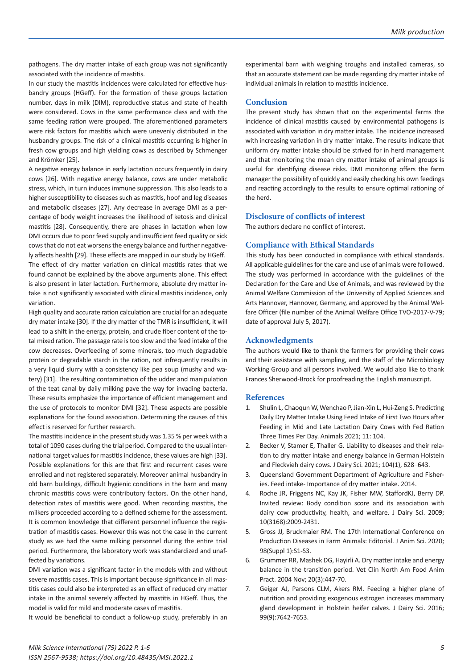pathogens. The dry matter intake of each group was not significantly associated with the incidence of mastitis.

In our study the mastitis incidences were calculated for effective husbandry groups (HGeff). For the formation of these groups lactation number, days in milk (DIM), reproductive status and state of health were considered. Cows in the same performance class and with the same feeding ration were grouped. The aforementioned parameters were risk factors for mastitis which were unevenly distributed in the husbandry groups. The risk of a clinical mastitis occurring is higher in fresh cow groups and high yielding cows as described by Schmenger and Krömker [25].

A negative energy balance in early lactation occurs frequently in dairy cows [26]. With negative energy balance, cows are under metabolic stress, which, in turn induces immune suppression. This also leads to a higher susceptibility to diseases such as mastitis, hoof and leg diseases and metabolic diseases [27]. Any decrease in average DMI as a percentage of body weight increases the likelihood of ketosis and clinical mastitis [28]. Consequently, there are phases in lactation when low DMI occurs due to poor feed supply and insufficient feed quality or sick cows that do not eat worsens the energy balance and further negatively affects health [29]. These effects are mapped in our study by HGeff. The effect of dry matter variation on clinical mastitis rates that we found cannot be explained by the above arguments alone. This effect is also present in later lactation. Furthermore, absolute dry matter intake is not significantly associated with clinical mastitis incidence, only variation.

High quality and accurate ration calculation are crucial for an adequate dry mater intake [30]. If the dry matter of the TMR is insufficient, it will lead to a shift in the energy, protein, and crude fiber content of the total mixed ration. The passage rate is too slow and the feed intake of the cow decreases. Overfeeding of some minerals, too much degradable protein or degradable starch in the ration, not infrequently results in a very liquid slurry with a consistency like pea soup (mushy and watery) [31]. The resulting contamination of the udder and manipulation of the teat canal by daily milking pave the way for invading bacteria. These results emphasize the importance of efficient management and the use of protocols to monitor DMI [32]. These aspects are possible explanations for the found association. Determining the causes of this effect is reserved for further research.

The mastitis incidence in the present study was 1.35 % per week with a total of 1090 cases during the trial period. Compared to the usual international target values for mastitis incidence, these values are high [33]. Possible explanations for this are that first and recurrent cases were enrolled and not registered separately. Moreover animal husbandry in old barn buildings, difficult hygienic conditions in the barn and many chronic mastitis cows were contributory factors. On the other hand, detection rates of mastitis were good. When recording mastitis, the milkers proceeded according to a defined scheme for the assessment. It is common knowledge that different personnel influence the registration of mastitis cases. However this was not the case in the current study as we had the same milking personnel during the entire trial period. Furthermore, the laboratory work was standardized and unaffected by variations.

DMI variation was a significant factor in the models with and without severe mastitis cases. This is important because significance in all mastitis cases could also be interpreted as an effect of reduced dry matter intake in the animal severely affected by mastitis in HGeff. Thus, the model is valid for mild and moderate cases of mastitis.

It would be beneficial to conduct a follow-up study, preferably in an

experimental barn with weighing troughs and installed cameras, so that an accurate statement can be made regarding dry matter intake of individual animals in relation to mastitis incidence.

#### **Conclusion**

The present study has shown that on the experimental farms the incidence of clinical mastitis caused by environmental pathogens is associated with variation in dry matter intake. The incidence increased with increasing variation in dry matter intake. The results indicate that uniform dry matter intake should be strived for in herd management and that monitoring the mean dry matter intake of animal groups is useful for identifying disease risks. DMI monitoring offers the farm manager the possibility of quickly and easily checking his own feedings and reacting accordingly to the results to ensure optimal rationing of the herd.

## **Disclosure of conflicts of interest**

The authors declare no conflict of interest.

#### **Compliance with Ethical Standards**

This study has been conducted in compliance with ethical standards. All applicable guidelines for the care and use of animals were followed. The study was performed in accordance with the guidelines of the Declaration for the Care and Use of Animals, and was reviewed by the Animal Welfare Commission of the University of Applied Sciences and Arts Hannover, Hannover, Germany, and approved by the Animal Welfare Officer (file number of the Animal Welfare Office TVO-2017-V-79; date of approval July 5, 2017).

#### **Acknowledgments**

The authors would like to thank the farmers for providing their cows and their assistance with sampling, and the staff of the Microbiology Working Group and all persons involved. We would also like to thank Frances Sherwood-Brock for proofreading the English manuscript.

### **References**

- 1. Shulin L, Chaoqun W, Wenchao P, Jian-Xin L, Hui-Zeng S. Predicting Daily Dry Matter Intake Using Feed Intake of First Two Hours after Feeding in Mid and Late Lactation Dairy Cows with Fed Ration Three Times Per Day. Animals 2021; 11: 104.
- 2. Becker V, Stamer E, Thaller G. Liability to diseases and their relation to dry matter intake and energy balance in German Holstein and Fleckvieh dairy cows. J Dairy Sci. 2021; 104(1), 628–643.
- 3. Queensland Government Department of Agriculture and Fisheries. Feed intake- Importance of dry matter intake. 2014.
- 4. Roche JR, Friggens NC, Kay JK, Fisher MW, StaffordKJ, Berry DP. Invited review: Body condition score and its association with dairy cow productivity, health, and welfare. J Dairy Sci. 2009; 10(3168):2009-2431.
- 5. Gross JJ, Bruckmaier RM. The 17th International Conference on Production Diseases in Farm Animals: Editorial. J Anim Sci. 2020; 98(Suppl 1):S1-S3.
- 6. Grummer RR, Mashek DG, Hayirli A. Dry matter intake and energy balance in the transition period. Vet Clin North Am Food Anim Pract. 2004 Nov; 20(3):447-70.
- 7. Geiger AJ, Parsons CLM, Akers RM. Feeding a higher plane of nutrition and providing exogenous estrogen increases mammary gland development in Holstein heifer calves. J Dairy Sci. 2016; 99(9):7642-7653.